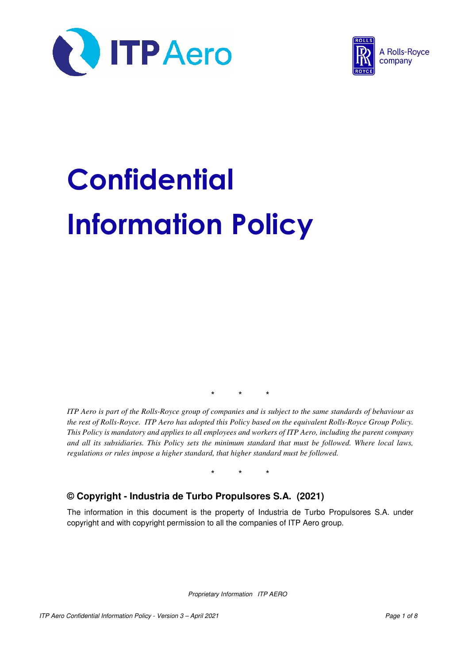



# **Confidential** Information Policy

\* \* \*

*ITP Aero is part of the Rolls-Royce group of companies and is subject to the same standards of behaviour as the rest of Rolls-Royce. ITP Aero has adopted this Policy based on the equivalent Rolls-Royce Group Policy. This Policy is mandatory and applies to all employees and workers of ITP Aero, including the parent company and all its subsidiaries. This Policy sets the minimum standard that must be followed. Where local laws, regulations or rules impose a higher standard, that higher standard must be followed.* 

\* \* \*

## **© Copyright - Industria de Turbo Propulsores S.A. (2021)**

The information in this document is the property of Industria de Turbo Propulsores S.A. under copyright and with copyright permission to all the companies of ITP Aero group.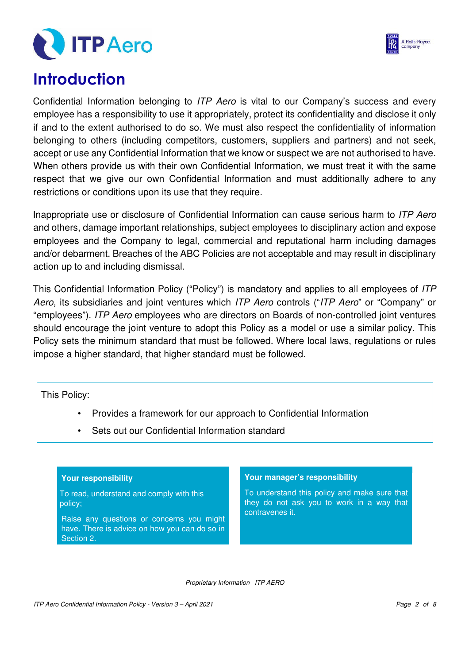



# **Introduction**

Confidential Information belonging to ITP Aero is vital to our Company's success and every employee has a responsibility to use it appropriately, protect its confidentiality and disclose it only if and to the extent authorised to do so. We must also respect the confidentiality of information belonging to others (including competitors, customers, suppliers and partners) and not seek, accept or use any Confidential Information that we know or suspect we are not authorised to have. When others provide us with their own Confidential Information, we must treat it with the same respect that we give our own Confidential Information and must additionally adhere to any restrictions or conditions upon its use that they require.

Inappropriate use or disclosure of Confidential Information can cause serious harm to ITP Aero and others, damage important relationships, subject employees to disciplinary action and expose employees and the Company to legal, commercial and reputational harm including damages and/or debarment. Breaches of the ABC Policies are not acceptable and may result in disciplinary action up to and including dismissal.

This Confidential Information Policy ("Policy") is mandatory and applies to all employees of ITP Aero, its subsidiaries and joint ventures which ITP Aero controls ("ITP Aero" or "Company" or "employees"). ITP Aero employees who are directors on Boards of non-controlled joint ventures should encourage the joint venture to adopt this Policy as a model or use a similar policy. This Policy sets the minimum standard that must be followed. Where local laws, regulations or rules impose a higher standard, that higher standard must be followed.

This Policy:

- Provides a framework for our approach to Confidential Information
- Sets out our Confidential Information standard

#### **Your responsibility**

To read, understand and comply with this policy;

Raise any questions or concerns you might have. There is advice on how you can do so in Section 2.

#### **Your manager's responsibility**

To understand this policy and make sure that they do not ask you to work in a way that contravenes it.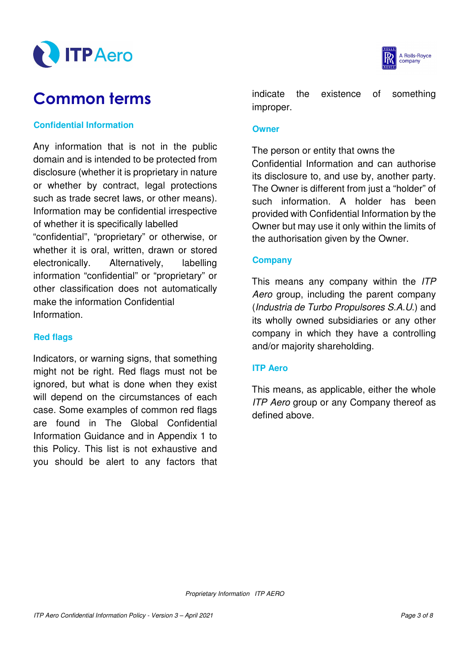



# Common terms

#### **Confidential Information**

Any information that is not in the public domain and is intended to be protected from disclosure (whether it is proprietary in nature or whether by contract, legal protections such as trade secret laws, or other means). Information may be confidential irrespective of whether it is specifically labelled "confidential", "proprietary" or otherwise, or whether it is oral, written, drawn or stored electronically. Alternatively, labelling information "confidential" or "proprietary" or other classification does not automatically make the information Confidential Information.

#### **Red flags**

Indicators, or warning signs, that something might not be right. Red flags must not be ignored, but what is done when they exist will depend on the circumstances of each case. Some examples of common red flags are found in The Global Confidential Information Guidance and in Appendix 1 to this Policy. This list is not exhaustive and you should be alert to any factors that indicate the existence of something improper.

#### **Owner**

The person or entity that owns the

Confidential Information and can authorise its disclosure to, and use by, another party. The Owner is different from just a "holder" of such information. A holder has been provided with Confidential Information by the Owner but may use it only within the limits of the authorisation given by the Owner.

#### **Company**

This means any company within the ITP Aero group, including the parent company (Industria de Turbo Propulsores S.A.U.) and its wholly owned subsidiaries or any other company in which they have a controlling and/or majority shareholding.

#### **ITP Aero**

This means, as applicable, either the whole ITP Aero group or any Company thereof as defined above.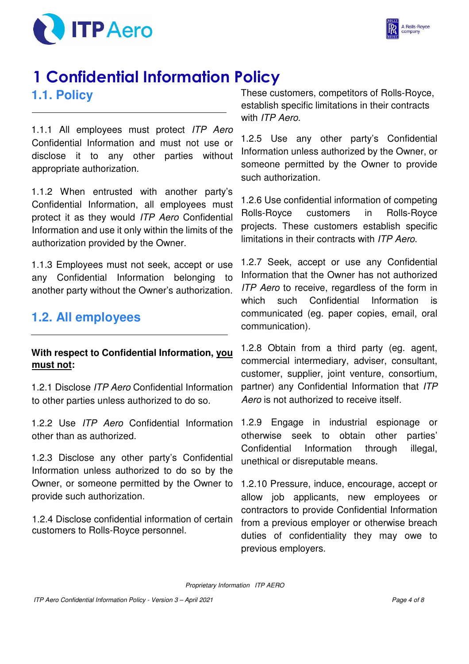



# 1 Confidential Information Policy **1.1. Policy**

1.1.1 All employees must protect ITP Aero Confidential Information and must not use or disclose it to any other parties without appropriate authorization.

1.1.2 When entrusted with another party's Confidential Information, all employees must protect it as they would ITP Aero Confidential Information and use it only within the limits of the authorization provided by the Owner.

1.1.3 Employees must not seek, accept or use any Confidential Information belonging to another party without the Owner's authorization.

# **1.2. All employees**

## **With respect to Confidential Information, you must not:**

1.2.1 Disclose ITP Aero Confidential Information to other parties unless authorized to do so.

1.2.2 Use ITP Aero Confidential Information other than as authorized.

1.2.3 Disclose any other party's Confidential Information unless authorized to do so by the Owner, or someone permitted by the Owner to provide such authorization.

1.2.4 Disclose confidential information of certain customers to Rolls-Royce personnel.

These customers, competitors of Rolls-Royce, establish specific limitations in their contracts with ITP Aero.

1.2.5 Use any other party's Confidential Information unless authorized by the Owner, or someone permitted by the Owner to provide such authorization.

1.2.6 Use confidential information of competing Rolls-Royce customers in Rolls-Royce projects. These customers establish specific limitations in their contracts with ITP Aero.

1.2.7 Seek, accept or use any Confidential Information that the Owner has not authorized ITP Aero to receive, regardless of the form in which such Confidential Information is communicated (eg. paper copies, email, oral communication).

1.2.8 Obtain from a third party (eg. agent, commercial intermediary, adviser, consultant, customer, supplier, joint venture, consortium, partner) any Confidential Information that ITP Aero is not authorized to receive itself.

1.2.9 Engage in industrial espionage or otherwise seek to obtain other parties' Confidential Information through illegal, unethical or disreputable means.

1.2.10 Pressure, induce, encourage, accept or allow job applicants, new employees or contractors to provide Confidential Information from a previous employer or otherwise breach duties of confidentiality they may owe to previous employers.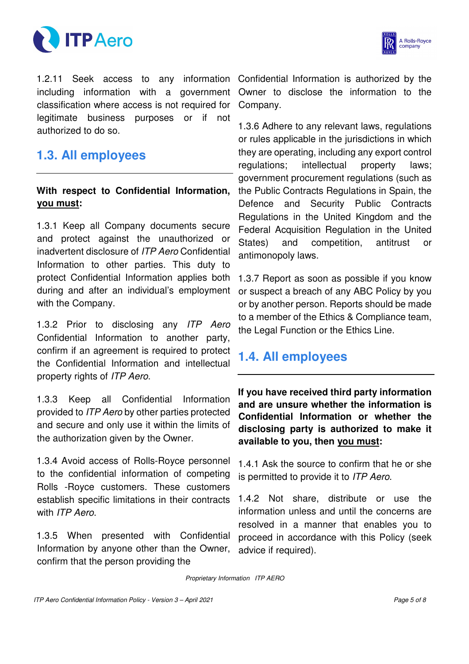



1.2.11 Seek access to any information Confidential Information is authorized by the including information with a government classification where access is not required for legitimate business purposes or if not authorized to do so.

# **1.3. All employees**

## **With respect to Confidential Information, you must:**

1.3.1 Keep all Company documents secure and protect against the unauthorized or inadvertent disclosure of ITP Aero Confidential Information to other parties. This duty to protect Confidential Information applies both during and after an individual's employment with the Company.

1.3.2 Prior to disclosing any ITP Aero Confidential Information to another party, confirm if an agreement is required to protect the Confidential Information and intellectual property rights of ITP Aero.

1.3.3 Keep all Confidential Information provided to ITP Aero by other parties protected and secure and only use it within the limits of the authorization given by the Owner.

1.3.4 Avoid access of Rolls-Royce personnel to the confidential information of competing Rolls -Royce customers. These customers establish specific limitations in their contracts with ITP Aero.

1.3.5 When presented with Confidential Information by anyone other than the Owner, confirm that the person providing the

Owner to disclose the information to the Company.

1.3.6 Adhere to any relevant laws, regulations or rules applicable in the jurisdictions in which they are operating, including any export control regulations; intellectual property laws; government procurement regulations (such as the Public Contracts Regulations in Spain, the Defence and Security Public Contracts Regulations in the United Kingdom and the Federal Acquisition Regulation in the United States) and competition, antitrust or antimonopoly laws.

1.3.7 Report as soon as possible if you know or suspect a breach of any ABC Policy by you or by another person. Reports should be made to a member of the Ethics & Compliance team, the Legal Function or the Ethics Line.

# **1.4. All employees**

**If you have received third party information and are unsure whether the information is Confidential Information or whether the disclosing party is authorized to make it available to you, then you must:**

1.4.1 Ask the source to confirm that he or she is permitted to provide it to ITP Aero.

1.4.2 Not share, distribute or use the information unless and until the concerns are resolved in a manner that enables you to proceed in accordance with this Policy (seek advice if required).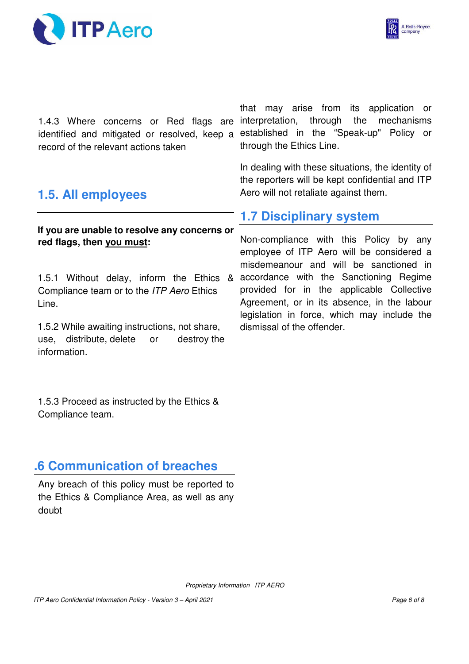



1.4.3 Where concerns or Red flags are interpretation, through the mechanisms identified and mitigated or resolved, keep a established in the "Speak-up" Policy or record of the relevant actions taken

that may arise from its application or through the Ethics Line.

In dealing with these situations, the identity of the reporters will be kept confidential and ITP Aero will not retaliate against them.

# **1.5. All employees**

## **If you are unable to resolve any concerns or red flags, then you must:**

1.5.1 Without delay, inform the Ethics & Compliance team or to the ITP Aero Ethics Line.

1.5.2 While awaiting instructions, not share, use, distribute, delete or destroy the information.

 1.5.3 Proceed as instructed by the Ethics & Compliance team.

# **1.6 Communication of breaches**

Any breach of this policy must be reported to the Ethics & Compliance Area, as well as any doubt

# **1.7 Disciplinary system**

Non-compliance with this Policy by any employee of ITP Aero will be considered a misdemeanour and will be sanctioned in accordance with the Sanctioning Regime provided for in the applicable Collective Agreement, or in its absence, in the labour legislation in force, which may include the dismissal of the offender.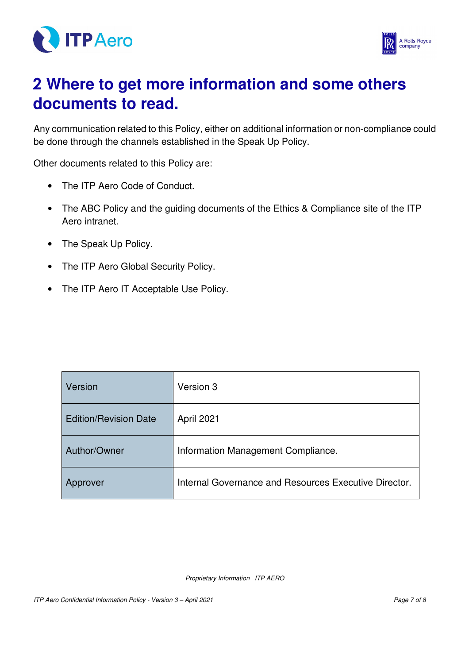



# 2 **Where to get more information and some others documents to read.**

Any communication related to this Policy, either on additional information or non-compliance could be done through the channels established in the Speak Up Policy.

Other documents related to this Policy are:

- The ITP Aero Code of Conduct.
- The ABC Policy and the guiding documents of the Ethics & Compliance site of the ITP Aero intranet.
- The Speak Up Policy.
- The ITP Aero Global Security Policy.
- The ITP Aero IT Acceptable Use Policy.

| Version                      | Version 3                                             |
|------------------------------|-------------------------------------------------------|
| <b>Edition/Revision Date</b> | April 2021                                            |
| Author/Owner                 | Information Management Compliance.                    |
| <b>Approver</b>              | Internal Governance and Resources Executive Director. |